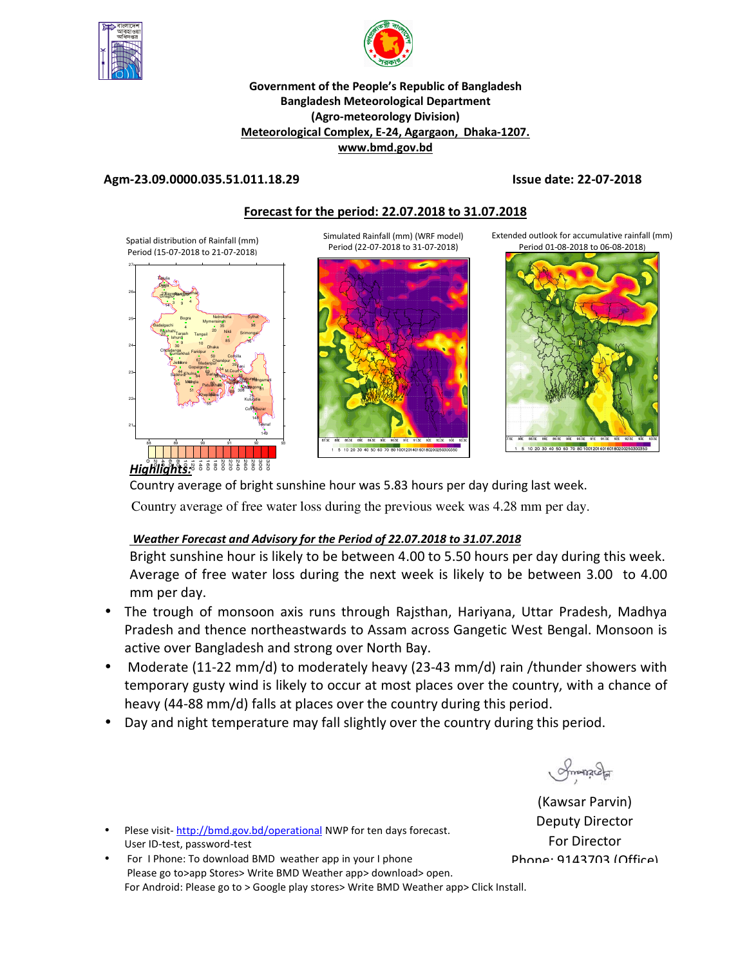



#### **Government of the People's Republic of Bangladesh Bangladesh Meteorological Department (Agro-meteorology Division) Meteorological Complex, E-24, Agargaon, Dhaka-1207. www.bmd.gov.bd**

### **Agm-23.09.0000.035.51.011.18.29 Issue date: 22-07-2018**

## **Forecast for the period: 22.07.2018 to 31.07.2018**

Spatial distribution of Rainfall (mm) Period (15-07-2018 to 21-07-2018)



Simulated Rainfall (mm) (WRF model) Period (22-07-2018 to 31-07-2018)



Extended outlook for accumulative rainfall (mm) Period 01-08-2018 to 06-08-2018)



 $\overrightarrow{\text{Highllighits:}}$  $\overrightarrow{\text{5:}}$   $\overrightarrow{\text{6:}}$   $\overrightarrow{\text{8:}}$   $\overrightarrow{\text{8:}}$   $\overrightarrow{\text{8:}}$   $\overrightarrow{\text{8:}}$   $\overrightarrow{\text{8:}}$ 

Country average of bright sunshine hour was 5.83 hours per day during last week.

Country average of free water loss during the previous week was 4.28 mm per day.

## *Weather Forecast and Advisory for the Period of 22.07.2018 to 31.07.2018*

Bright sunshine hour is likely to be between 4.00 to 5.50 hours per day during this week. Average of free water loss during the next week is likely to be between 3.00 to 4.00 mm per day.

- The trough of monsoon axis runs through Rajsthan, Hariyana, Uttar Pradesh, Madhya Pradesh and thence northeastwards to Assam across Gangetic West Bengal. Monsoon is active over Bangladesh and strong over North Bay.
- Moderate (11-22 mm/d) to moderately heavy (23-43 mm/d) rain /thunder showers with temporary gusty wind is likely to occur at most places over the country, with a chance of heavy (44-88 mm/d) falls at places over the country during this period.
- Day and night temperature may fall slightly over the country during this period.

Smanacha

(Kawsar Parvin) Deputy Director For Director Phone: 9143703 (Office)

• Plese visit- http://bmd.gov.bd/operational NWP for ten days forecast. User ID-test, password-test

• For I Phone: To download BMD weather app in your I phone Please go to>app Stores> Write BMD Weather app> download> open. For Android: Please go to > Google play stores> Write BMD Weather app> Click Install.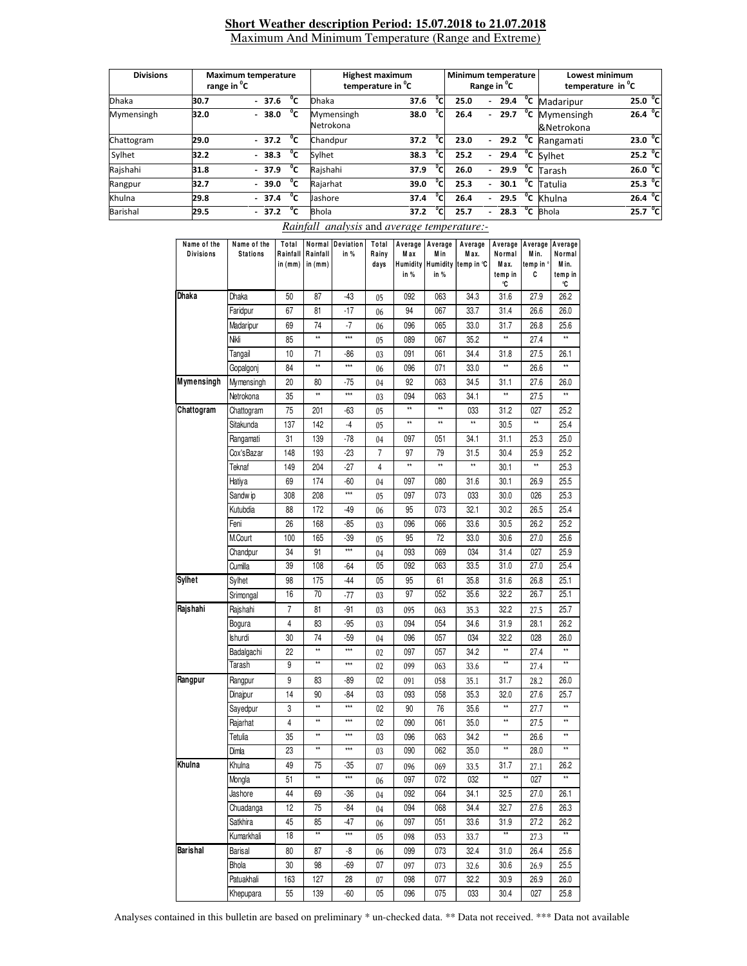#### **Short Weather description Period: 15.07.2018 to 21.07.2018** Maximum And Minimum Temperature (Range and Extreme)

| <b>Divisions</b> | <b>Maximum temperature</b><br>range in <sup>o</sup> C |  |         | <b>Highest maximum</b><br>temperature in <sup>o</sup> C |                             |      | Minimum temperature |                          | Range in <sup>"</sup> C  |      | Lowest minimum<br>temperature in <sup>o</sup> C |                                |                   |
|------------------|-------------------------------------------------------|--|---------|---------------------------------------------------------|-----------------------------|------|---------------------|--------------------------|--------------------------|------|-------------------------------------------------|--------------------------------|-------------------|
| <b>Dhaka</b>     | 30.7                                                  |  | $-37.6$ | °c                                                      | °cı<br><b>Dhaka</b><br>37.6 |      | 25.0                | $\overline{\phantom{0}}$ | 29.4                     | °c   | Madaripur                                       | 25.0 °C                        |                   |
| Mymensingh       | 32.0                                                  |  | $-38.0$ | °c                                                      | Mymensingh<br>Netrokona     | 38.0 | °Cı                 | 26.4                     |                          | 29.7 | °c                                              | Mymensingh<br>&Netrokona       | 26.4 $^{\circ}$ C |
| Chattogram       | 29.0                                                  |  | $-37.2$ | °c                                                      | Chandpur                    | 37.2 | $\overline{c}$      | 23.0                     | $\overline{\phantom{0}}$ | 29.2 | °c                                              | Rangamati                      | $23.0\text{ °C}$  |
| Sylhet           | 32.2                                                  |  | $-38.3$ | °c                                                      | Sylhet                      | 38.3 | ۳C۱                 | 25.2                     | $\overline{\phantom{0}}$ | 29.4 | $\overline{c}$                                  | Sylhet                         | 25.2 °C           |
| Rajshahi         | 31.8                                                  |  | $-37.9$ | °c                                                      | Rajshahi                    | 37.9 | °c                  | 26.0                     | $\overline{\phantom{0}}$ | 29.9 |                                                 | $\overline{C}$ Tarash          | 26.0 °C           |
| Rangpur          | 32.7                                                  |  | $-39.0$ | °c                                                      | Rajarhat                    | 39.0 | °cı                 | 25.3                     | $\overline{\phantom{0}}$ | 30.1 |                                                 | $\overline{\text{°c}}$ Tatulia | 25.3 °C           |
| Khulna           | 29.8                                                  |  | $-37.4$ | °c                                                      | Jashore                     | 37.4 | °CI                 | 26.4                     |                          | 29.5 | °c                                              | Khulna                         | 26.4 $^{\circ}$ C |
| Barishal         | 29.5                                                  |  | $-37.2$ | °c                                                      | <b>Bhola</b>                | 37.2 | °C.                 | 25.7                     |                          | 28.3 | $^{\circ}$ c                                    | <b>Bhola</b>                   | 25.7 °C           |

| Name of the<br><b>Divisions</b> | Name of the<br><b>Stations</b> | Total<br>Rainfall<br>in (mm) | Rainfall<br>in $(mm)$ | Normal Deviation<br>in % | Total<br>Rainy<br>days | Average<br>M a x<br>in % | Average<br>M in<br>in % | Average<br>Max.<br>Humidity Humidity temp in °C | Average<br>Normal<br>Max.<br>temp in<br>°C | Average Average<br>Min.<br>temp in °<br>C | Normal<br>Min.<br>temp in<br>°C |
|---------------------------------|--------------------------------|------------------------------|-----------------------|--------------------------|------------------------|--------------------------|-------------------------|-------------------------------------------------|--------------------------------------------|-------------------------------------------|---------------------------------|
| Dhaka                           | Dhaka                          | 50                           | 87                    | -43                      | 05                     | 092                      | 063                     | 34.3                                            | 31.6                                       | 27.9                                      | 26.2                            |
|                                 | Faridpur                       | 67                           | 81                    | $-17$                    | 06                     | 94                       | 067                     | 33.7                                            | 31.4                                       | 26.6                                      | 26.0                            |
|                                 | Madaripur                      | 69                           | 74                    | $-7$                     | 06                     | 096                      | 065                     | 33.0                                            | 31.7                                       | 26.8                                      | 25.6                            |
|                                 | Nikli                          | 85                           | $\star\star$          | $***$                    | 05                     | 089                      | 067                     | 35.2                                            | $\star\star$                               | 27.4                                      |                                 |
|                                 | Tangail                        | 10                           | 71                    | -86                      | 03                     | 091                      | 061                     | 34.4                                            | 31.8                                       | 27.5                                      | 26.1                            |
|                                 | Gopalgonj                      | 84                           | $\star\star$          | $\overline{**}$          | 06                     | 096                      | 071                     | 33.0                                            | $\star\star$                               | 26.6                                      | $\star\star$                    |
| Mymensingh                      | Mymensingh                     | 20                           | 80                    | -75                      | 04                     | 92                       | 063                     | 34.5                                            | 31.1                                       | 27.6                                      | 26.0                            |
|                                 | Netrokona                      | 35                           | $\star\star$          | ***                      | 03                     | 094                      | 063                     | 34.1                                            | $\star\star$                               | 27.5                                      | **                              |
| Chattogram                      | Chattogram                     | 75                           | 201                   | -63                      | 05                     | xx                       | $\star\star$            | 033                                             | 31.2                                       | 027                                       | 25.2                            |
|                                 | Sitakunda                      | 137                          | 142                   | $-4$                     | 05                     | **                       | $\star\star$            | $\star\star$                                    | 30.5                                       | $\star\star$                              | 25.4                            |
|                                 | Rangamati                      | 31                           | 139                   | $-78$                    | 04                     | 097                      | 051                     | 34.1                                            | 31.1                                       | 25.3                                      | 25.0                            |
|                                 | Cox'sBazar                     | 148                          | 193                   | -23                      | $\overline{7}$         | 97                       | 79                      | 31.5                                            | 30.4                                       | 25.9                                      | 25.2                            |
|                                 | Teknaf                         | 149                          | 204                   | $-27$                    | 4                      | **                       | $\star\star$            | **                                              | 30.1                                       | ××                                        | 25.3                            |
|                                 | Hatiya                         | 69                           | 174                   | -60                      | 04                     | 097                      | 080                     | 31.6                                            | 30.1                                       | 26.9                                      | 25.5                            |
|                                 | Sandw ip                       | 308                          | 208                   | ***                      | 05                     | 097                      | 073                     | 033                                             | 30.0                                       | 026                                       | 25.3                            |
|                                 | Kutubdia                       | 88                           | 172                   | -49                      | 06                     | 95                       | 073                     | 32.1                                            | 30.2                                       | 26.5                                      | 25.4                            |
|                                 | Feni                           | 26                           | 168                   | -85                      | 03                     | 096                      | 066                     | 33.6                                            | 30.5                                       | 26.2                                      | 25.2                            |
|                                 | <b>M.Court</b>                 | 100                          | 165                   | -39                      | 05                     | 95                       | 72                      | 33.0                                            | 30.6                                       | 27.0                                      | 25.6                            |
|                                 | Chandpur                       | 34                           | 91                    | ***                      | 04                     | 093                      | 069                     | 034                                             | 31.4                                       | 027                                       | 25.9                            |
|                                 | Cumilla                        | 39                           | 108                   | -64                      | 05                     | 092                      | 063                     | 33.5                                            | 31.0                                       | 27.0                                      | 25.4                            |
| Sylhet                          | Sylhet                         | 98                           | 175                   | -44                      | 05                     | 95                       | 61                      | 35.8                                            | 31.6                                       | 26.8                                      | 25.1                            |
|                                 | Srimongal                      | 16                           | 70                    | $-77$                    | 03                     | 97                       | 052                     | 35.6                                            | 32.2                                       | 26.7                                      | 25.1                            |
| Rajshahi                        | Rajshahi                       | 7                            | 81                    | -91                      | 03                     | 095                      | 063                     | 35.3                                            | 32.2                                       | 27.5                                      | 25.7                            |
|                                 | Bogura                         | 4                            | 83                    | -95                      | 03                     | 094                      | 054                     | 34.6                                            | 31.9                                       | 28.1                                      | 26.2                            |
|                                 | Ishurdi                        | 30                           | 74                    | $-59$                    | 04                     | 096                      | 057                     | 034                                             | 32.2                                       | 028                                       | 26.0                            |
|                                 | Badalgachi                     | 22                           | $\star\star$          | ***                      | 02                     | 097                      | 057                     | 34.2                                            | $\star\star$                               | 27.4                                      | $\star\star$                    |
|                                 | Tarash                         | 9                            | $\star\star$          | ***                      | 02                     | 099                      | 063                     | 33.6                                            | **                                         | 27.4                                      | **                              |
| Rangpur                         | Rangpur                        | 9                            | 83                    | -89                      | 02                     | 091                      | 058                     | 35.1                                            | 31.7                                       | 28.2                                      | 26.0                            |
|                                 | Dinajpur                       | 14                           | 90                    | -84                      | 03                     | 093                      | 058                     | 35.3                                            | 32.0                                       | 27.6                                      | 25.7                            |
|                                 | Sayedpur                       | 3                            | $\star\star$          | ***                      | 02                     | 90                       | 76                      | 35.6                                            | **                                         | 27.7                                      | **                              |
|                                 | Rajarhat                       | 4                            | $\star\star$          | ***                      | 02                     | 090                      | 061                     | 35.0                                            | $\ddot{x}$                                 | 27.5                                      | xx                              |
|                                 | Tetulia                        | 35                           | **                    | ***                      | 03                     | 096                      | 063                     | 34.2                                            | $\star\star$                               | 26.6                                      | **                              |
|                                 | Dimla                          | 23                           | $\star\star$          | $***$                    | 03                     | 090                      | 062                     | 35.0                                            | **                                         | 28.0                                      | **                              |
| Khulna                          | Khulna                         | 49                           | 75                    | -35                      | 07                     | 096                      | 069                     | 33.5                                            | 31.7                                       | 27.1                                      | 26.2                            |
|                                 | Mongla                         | 51                           | $\ddot{x}$            | $***$                    | 06                     | 097                      | 072                     | 032                                             | $\star\star$                               | 027                                       | $\star\star$                    |
|                                 | Jashore                        | 44                           | 69                    | $-36$                    | 04                     | 092                      | 064                     | 34.1                                            | 32.5                                       | 27.0                                      | 26.1                            |
|                                 | Chuadanga                      | 12                           | 75                    | -84                      | 04                     | 094                      | 068                     | 34.4                                            | 32.7                                       | 27.6                                      | 26.3                            |
|                                 | Satkhira                       | 45                           | 85                    | -47                      | 06                     | 097                      | 051                     | 33.6                                            | 31.9                                       | 27.2                                      | 26.2                            |
|                                 | Kumarkhali                     | 18                           | **                    | ***                      | 05                     | 098                      | 053                     | 33.7                                            | **                                         | 27.3                                      | **                              |
| Barishal                        | <b>Barisal</b>                 | 80                           | 87                    | -8                       | 06                     | 099                      | 073                     | 32.4                                            | 31.0                                       | 26.4                                      | 25.6                            |
|                                 | <b>Bhola</b>                   | 30                           | 98                    | -69                      | 07                     | 097                      | 073                     | 32.6                                            | 30.6                                       | 26.9                                      | 25.5                            |
|                                 | Patuakhali                     | 163                          | 127                   | 28                       | 07                     | 098                      | 077                     | 32.2                                            | 30.9                                       | 26.9                                      | 26.0                            |
|                                 | Khepupara                      | 55                           | 139                   | -60                      | 05                     | 096                      | 075                     | 033                                             | 30.4                                       | 027                                       | 25.8                            |

#### *Rainfall analysis* and *average temperature:-*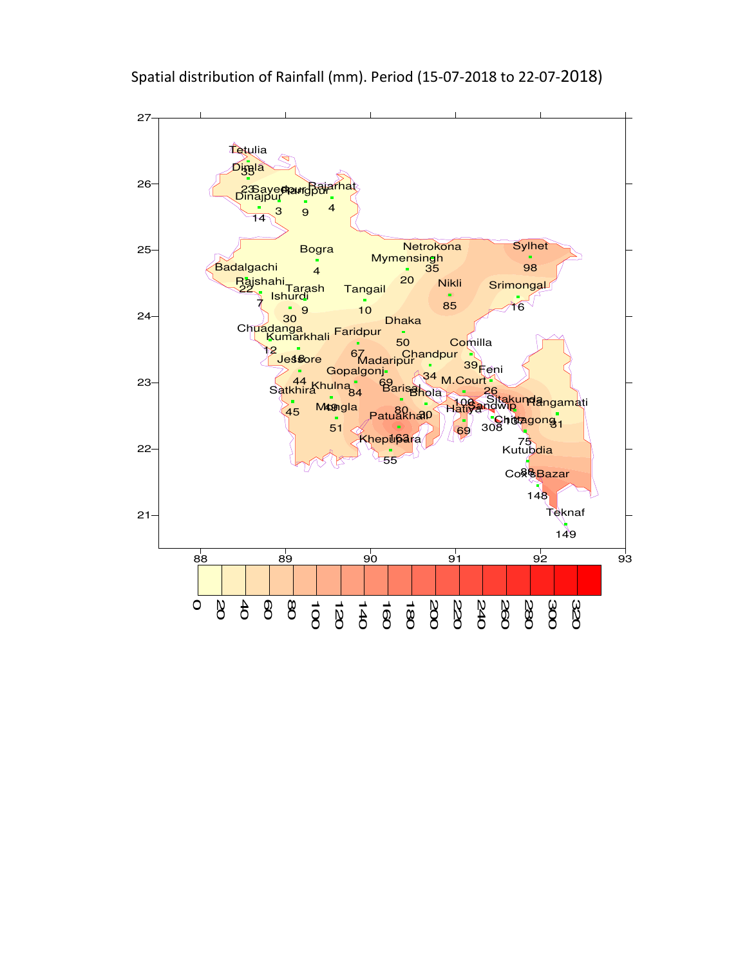

Spatial distribution of Rainfall (mm). Period (15-07-2018 to 22-07-2018)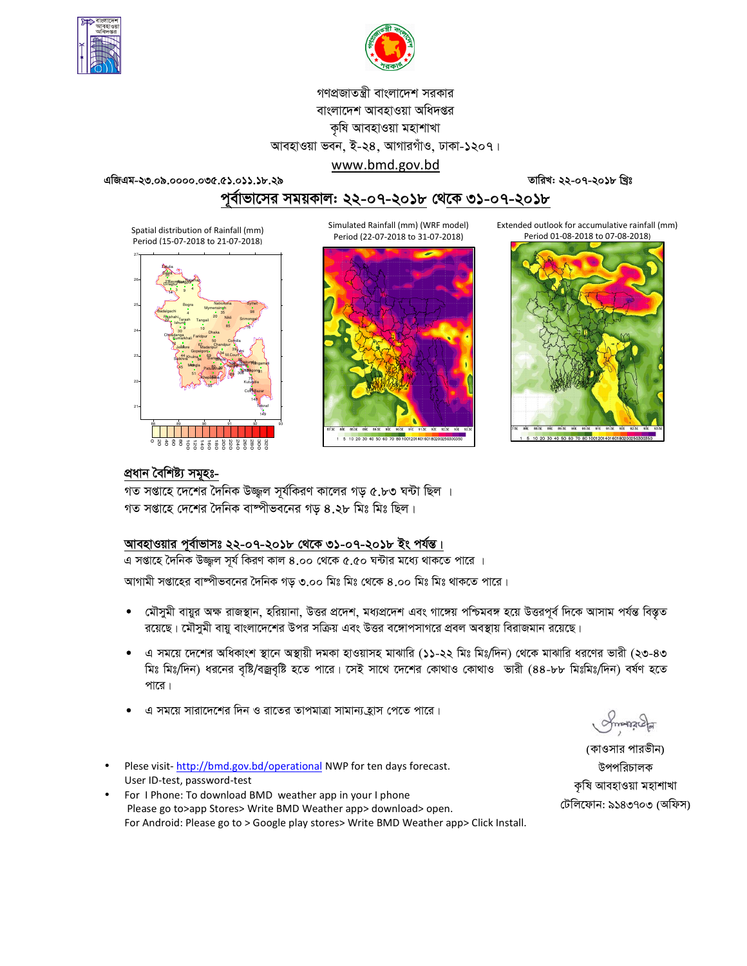



গণপ্রজাতন্ত্রী বাংলাদেশ সরকার বাংলাদেশ আবহাওয়া অধিদপ্তর কৃষি আবহাওয়া মহাশাখা আবহাওয়া ভবন, ই-২৪, আগারগাঁও, ঢাকা-১২০৭।

www.bmd.gov.bd

এজিএম-২৩.০৯.০০০০.০৩৫.৫১.০১১.১৮.২৯

তারিখ: ২২-০৭-২০১৮ খ্রিঃ

পূর্বাভাসের সময়কাল: ২২-০৭-২০১৮ থে<u>কে ৩১-০৭-২০১৮</u>

Spatial distribution of Rainfall (mm) Period (15-07-2018 to 21-07-2018)



Simulated Rainfall (mm) (WRF model) Period (22-07-2018 to 31-07-2018)



Extended outlook for accumulative rainfall (mm) Period 01-08-2018 to 07-08-2018)



### প্ৰধান বৈশিষ্ট্য সমূহঃ-

গত সপ্তাহে দেশের দৈনিক উজ্জল সূর্যকিরণ কালের গড় ৫.৮৩ ঘন্টা ছিল । গত সপ্তাহে দেশের দৈনিক বাষ্পীভবনের গড ৪.২৮ মিঃ মিঃ ছিল।

# আবহাওয়ার পূর্বাভাসঃ ২২-০৭-২০১৮ থেকে ৩১-০৭-২০১৮ ইং পর্যন্ত।

এ সপ্তাহে দৈনিক উজ্জুল সূর্য কিরণ কাল ৪.০০ থেকে ৫.৫০ ঘন্টার মধ্যে থাকতে পারে । আগামী সপ্তাহের বাম্পীভবনের দৈনিক গড় ৩.০০ মিঃ মিঃ থেকে ৪.০০ মিঃ মিঃ থাকতে পারে।

- মৌসুমী বায়ুর অক্ষ রাজস্থান, হরিয়ানা, উত্তর প্রদেশ, মধ্যপ্রদেশ এবং গাঙ্গেয় পশ্চিমবঙ্গ হয়ে উত্তরপূর্ব দিকে আসাম পর্যন্ত বিস্তৃত  $\bullet$ রয়েছে। মৌসমী বায় বাংলাদেশের উপর সক্রিয় এবং উত্তর বঙ্গোপসাগরে প্রবল অবস্থায় বিরাজমান রয়েছে।
- এ সময়ে দেশের অধিকাংশ স্থানে অস্থায়ী দমকা হাওয়াসহ মাঝারি (১১-২২ মিঃ মিঃ/দিন) থেকে মাঝারি ধরণের ভারী (২৩-৪৩ মিঃ মিঃ/দিন) ধরনের বৃষ্টি/বজ্রবৃষ্টি হতে পারে। সেই সাথে দেশের কোথাও কোথাও ভারী (৪৪-৮৮ মিঃমিঃ/দিন) বর্ষণ হতে পারে।
- এ সময়ে সারাদেশের দিন ও রাতের তাপমাত্রা সামান্য হ্রাস পেতে পারে।
- Plese visit-http://bmd.gov.bd/operational NWP for ten days forecast. User ID-test, password-test
- For I Phone: To download BMD weather app in your I phone Please go to>app Stores> Write BMD Weather app> download> open. For Android: Please go to > Google play stores> Write BMD Weather app> Click Install.

Smanacla

(কাওসার পারভীন) উপপরিচালক কৃষি আবহাওয়া মহাশাখা টেলিফোন: ৯১৪৩৭০৩ (অফিস)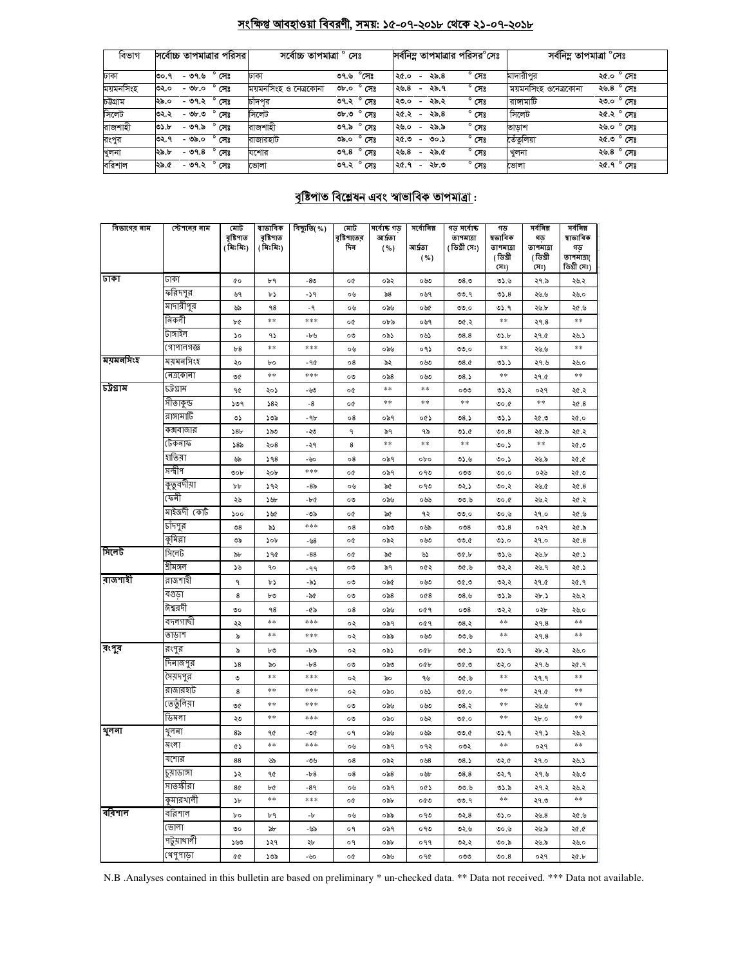# সংক্ষিপ্ত আবহাওয়া বিবরণী, সময়: ১৫-০৭-২০১৮ থেকে ২১-০৭-২০১৮

| বিভাগ     | সর্বোচ্চ তাপমাত্রার পরিসর        | সৰ্বোচ্চ তাপমাত্ৰা ° সেঃ |                          |                                  |        | সর্বনিম্ন তাপমাত্রার পরিসর <sup>০</sup> সেঃ | সৰ্বনিম্ন তাপমাত্ৰা °সেঃ |                                      |
|-----------|----------------------------------|--------------------------|--------------------------|----------------------------------|--------|---------------------------------------------|--------------------------|--------------------------------------|
| ঢাকা      | $^{\circ}$ সেঃ<br>- ৩৭.৬<br>৩০.৭ | ঢাকা                     | $^\circ$ সেঃ<br>৩৭.৬     | ২৫.০<br>$\overline{a}$           | ২৯.৪   | $^{\circ}$ সেঃ                              | মাদারীপর                 | ২৫.০ $^{\circ}$ সেঃ                  |
| ময়মনসিংহ | $^{\circ}$ সেঃ<br>৩২.০<br>- ৩৮.০ | ময়মনসিংহ ও নেত্ৰকোনা    | $^{\circ}$ সেঃ<br>৩৮.০   | 29.8<br>$\overline{\phantom{a}}$ | ২৯.৭   | $^{\circ}$ সেঃ                              | ময়মনসিংহ ওনেত্রকোনা     | ২৬.৪ ° সেঃ                           |
| চটগ্ৰাম   | ° সেঃ<br>- ৩৭.২<br>২৯.০          | চাঁদপুর                  | ৩৭.২° সেঃ                | ২৩.০<br>$\overline{\phantom{a}}$ | ২৯.২   | $^{\circ}$ সেঃ                              | রাঙ্গামাটি               | ২৩.০ ° সেঃ                           |
| সিলেট     | $^{\circ}$ সেঃ<br>৩২.২<br>- ৩৮.৩ | সিলেট                    | ৩৮.৩ ° সেঃ               | ২৫.২<br>$\overline{\phantom{a}}$ | ২৯.৪   | $^{\circ}$ সেঃ                              | সিলেট                    | <u>২৫.২<math>^{\circ}</math> সেঃ</u> |
| রাজশাহী   | $^{\circ}$ সেঃ<br>৩১.৮<br>- ৩৭.৯ | রাজশাহী                  | ৩৭.৯ ° সেঃ               | ২৬.০<br>$\overline{\phantom{a}}$ | ২৯.৯   | $^{\circ}$ সেঃ                              | তাড়াশ                   | ২৬.০ ° সেঃ                           |
| রংপুর     | $^{\circ}$ সেঃ<br>৩২.৭<br>- ৩৯.০ | রাজারহাট                 | $^{\circ}$ সেঃ<br>ರಿನಿ.೦ | ২৫.৩<br>$\overline{\phantom{0}}$ | ৩০.১   | $^{\circ}$ সেঃ                              | তেঁতুলিয়া               | ২৫.৩ ° সেঃ                           |
| খুলনা     | $^{\circ}$ সেঃ<br>- ৩৭.৪<br>২৯.৮ | যশোর                     | ৩৭.৪ $^{\circ}$ সেঃ      | 29.8<br>$\overline{\phantom{0}}$ | ২৯.৫   | $^{\circ}$ সেঃ                              | খুলনা                    | ২৬.৪ ° সেঃ                           |
| বরিশাল    | - ৩৭.২ <sup>০</sup> সেঃ<br>২৯.৫  | ভোলা                     | ৩৭.২ $\degree$ সেঃ       | ২৫.৭                             | - ২৮.৩ | $^{\circ}$ সেঃ                              | ভোলা                     | ২৫.৭ ° সেঃ                           |

# <u> বৃষ্টিপাত বিশ্লেষন এবং স্বাভাবিক তাপমাত্ৰা:</u>

| ডিগ্ৰী সেঃ)<br>(সঃ)<br>(সঃ)<br>जिंका<br>ঢাকা<br>¢о<br>৮৭<br>-80<br>০৬৩<br>08.0<br>0.6<br>২৭.৯<br>২৬.২<br>o¢<br>০৯২<br>ফরিদপুর<br>৬৭<br>-১৭<br>৯৪<br>05.8<br>৮১<br>০৬<br>০৬৭<br>৩৩.৭<br>২৬.৬<br>২৬.০<br>মাদারীপুর<br>৬৯<br>98<br>$-9$<br>০৯৬<br>00.0<br>৩১.৭<br>২৫.৬<br>০৬<br>০৬৫<br>২৬.৮<br>নিকলী<br>**<br>***<br>**<br>$\ast\ast$<br>৮৫<br>০৬৭<br>२१.8<br>o¢<br>০৮৯<br>৩৫.২<br>টাঙ্গাইল<br>$\mathcal{L}$<br>۹১<br>০৯১<br>০৬১<br>08.8<br>৩১.৮<br>২৭.৫<br>২৬.১<br>-৮৬<br>ೲ<br>গোপালগজ্ঞ<br>***<br>$\ast\ast$<br>**<br>**<br>०१১<br>b8<br>00.0<br>০৬<br>০৯৬<br>২৬.৬<br> ময়মনসিংহ<br>ময়মনসিংহ<br>-90<br>08<br>৯২<br>০৬৩<br>08.0<br>২৭.৬<br>২০<br>bο<br>৩১.১<br>২৬.০<br>নেত্ৰকোনা<br>***<br>**<br>**<br>**<br>৩৫<br>08.5<br>২৭.৫<br>ೲ<br>০৯৪<br>০৬৩<br>চট্টগ্ৰাম<br>চট্টগ্ৰাম<br>**<br>**<br>90<br>২০১<br>৩১.২<br>-৬৩<br>o¢<br>ೲಀ<br>०२१<br>২৫.২<br>সীতাকুন্ড<br>**<br>**<br>**<br>**<br>১৩৭<br>১৪২<br>-8<br>o¢<br>0.00<br>২৫.৪<br>রাঙ্গামার্টি<br>৩১<br>১৩৯<br>-96<br>08<br>০৯৭<br>০৫১<br>৩৪.১<br>৩১.১<br>২৫.৩<br>২৫.০<br>কক্সবাজার<br>58 <sub>b</sub><br>১৯৩<br>-২৩<br>٩<br>৯৭<br>৭৯<br>05.6<br>00.8<br>২৫.৯<br>২৫.২<br>টেকনাফ<br>$\ast$<br>$\ast$ $\ast$<br>**<br>**<br>8<br>585<br>২০৪<br>-২৭<br>৩০.১<br>২৫.৩<br>হাতিয়া<br>৬৯<br>598<br>-৬০<br>08<br>০৯৭<br>opo<br>৩১.৬<br>৩০.১<br>২৫.৫<br>২৬.৯<br>সন্দ্বীপ<br>***<br>০৯৭<br>৩.১২<br>৩০৮<br>২০৮<br>o¢<br>০৭৩<br>೦೦೦<br>0.00<br>০২৬<br>কুতুবদীয়া<br>১৭২<br>-8৯<br>৯৫<br>০৭৩<br>৩২.১<br>২৫.৪<br>৮৮<br>০৬<br>৩০.২<br>২৬.৫<br>কেনী<br>২৬<br>১৬৮<br>$-bc$<br>৩৩.৬<br>২৫.২<br>ೲ<br>০৯৬<br>০৬৬<br>৩০.৫<br>২৬.২<br>মাইজদী কোর্ট<br>১০০<br>১৬৫<br>-৩৯<br>o¢<br>৯৫<br>৭২<br>২৭.০<br>২৫.৬<br>00.0<br>৩০.৬<br>চাদপুর<br>***<br>$\mathcal{O}8$<br>৯১<br>08<br>ಂನಿಂ<br>০৬৯<br>008<br>05.8<br>०२१<br>২৫.৯<br>কুমিল্লা<br>৩৯<br>০৬৩<br>00.6<br>২৫.৪<br>১০৮<br>-৬8<br>o¢<br>০৯২<br>৩১.০<br>২৭.০<br>সিলেট<br>390<br>-88<br>৬১<br>00.5<br>0.6<br>২৫.১<br>৯৮<br>o¢<br>৯৫<br>২৬.৮<br>শ্ৰীমঙ্গল<br>২৫.১<br>১৬<br>90<br>ೲ<br>৯৭<br>০৫২<br>৩৫.৬<br>৩২.২<br>২৬.৭<br>-99<br>রাজশাহী<br>٩<br>৩৫.৩<br>৩২.২<br>২৭.৫<br>২৫.৭<br>৮১<br>-৯১<br>ೲ<br>০৯৫<br>০৬৩<br>বগুডা<br>8<br>৮৩<br>$\circ$ ನಿ $8$<br>008<br>৩ $8.5$<br>৩১.৯<br>-৯৫<br>ೲ<br>২৮.১<br>২৬.২<br>ঈশ্বরদী<br>৩০<br>٩8<br>-৫৯<br>08<br>০৯৬<br>०৫१<br>008<br>৩২.২<br>০২৮<br>২৬.০<br>বদলগাৰ্ঘী<br>$\ast\ast$<br>***<br>**<br>**<br>০৯৭<br>०৫१<br>৩৪.২<br>२१.8<br>২২<br>०२<br>তাডাশ<br>$\ast$ $\ast$<br>$\pm\pm$<br>**<br>৯<br>***<br>०२<br>০৯৯<br>০৬৩<br>00.6<br>२१.8<br>রংপুর<br>রংপুর<br>৯<br>০৯১<br>০৫৮<br>00.5<br>৩১.৭<br>২৬.০<br>৮৩<br>-৮৯<br>০২<br>২৮.২<br>দিনাজপুর<br>58<br>$-b8$<br>0.90<br>২৭.৬<br>২৫.৭<br>৯০<br>ೲ<br>ಂನಿಲ<br>০৫৮<br>৩২.০<br>সেয়দপুর<br>**<br>***<br>**<br>**<br>৩<br>৭৬<br>0.90<br>२१.१<br>०२<br>৯০<br>রাজারহাট<br>$\ast$ $\ast$<br>***<br>$\ast\ast$<br>**<br>8<br>0.90<br>২৭.৫<br>०२<br>০৯০<br>০৬১<br>ভেতুঁলিয়া<br>**<br>***<br>**<br>**<br>৩৫<br>৩৪.২<br>ೲ<br>০৯৬<br>০৬৩<br>২৬.৬<br>$\ast$ $\ast$<br>$\ast$<br>**<br>ডিমলা<br>***<br>২৩<br>০৬২<br>0.90<br>ೲ<br>০৯০<br>২৮.০<br>থूनना<br>থুলনা<br>8 <sub>o</sub><br>২৭.১<br>90<br>-৩৫<br>о۹<br>০৯৬<br>০৬৯<br>0.0<br>৩১.৭<br>২৬.২<br>মংলা<br>$\ast\ast$<br>***<br>$\ast\ast$<br>$\ast\ast$<br>¢۵<br>০৬<br>০৯৭<br>०१२<br>০৩২<br>०२१<br>যশোর<br>88<br>৬৯<br>08<br>০৯২<br>০৬৪<br>08.5<br>৩২.৫<br>২৭.০<br>২৬.১<br>-৩৬<br>চুয়াডাঙ্গা<br>১২<br>90<br>$-b8$<br>08.8<br>৩২.৭<br>২৭.৬<br>08<br>০৯৪<br>০৬৮<br>২৬.৩<br>সাতক্ষীরা<br>8¢<br>৮৫<br>-89<br>০৯৭<br>০৫১<br>৩৩.৬<br>৩১.৯<br>২৭.২<br>০৬<br>২৬.২<br>$\ast\ast$<br>কুমারথালী<br>**<br>**<br>***<br>১৮<br>২৭.৩<br>o¢<br>০৯৮<br>০৫৩<br>৩৩.৭<br>বরিশাল<br>৮৭<br>bο<br>-b<br>০৬<br>০৯৯<br>০৭৩<br>৩২.৪<br>৩১.০<br>২৬.৪<br>২৫.৬<br>ভোলা<br>৩০<br>৯৮<br>-৬৯<br>о۹<br>০৯৭<br>০৭৩<br>৩২.৬<br>0.6<br>২৬.৯<br>২৫.৫<br>পটুয়াথালী<br>o٩<br>०११<br>১৬৩<br>১২৭<br>২৮<br>০৯৮<br>৩২.২<br>৩০.৯<br>২৬.৯<br>২৬.০ | বিভাগের নাম | স্টেশনের নাম | মোট<br>বৃষ্টিপাত<br>(মিঃমিঃ) | ষাভাবিক<br>বৃষ্টিপাত<br>(মিঃমিঃ) | বিছ্যুতি( %) | মোট<br>বৃষ্টিপাতের<br>দিন | সৰ্বোষ্ক গড<br>আৰ্দ্ৰতা<br>( %) | সৰ্বোনিম্ন<br>আৰ্দ্ৰতা<br>( %) | গড সৰ্বোষ্ক<br>তাপমাত্রা<br>(ডিগ্ৰী সেঃ) | গড<br>ষভাবিক<br>তাপমাত্রা<br>(ডিগ্ৰী | সর্বনিম্ন<br>গড<br>তাপমাত্রা<br>(ডিগ্ৰী | সর্বনিম্ন<br>ষাভাবিক<br>গড়<br>তাপমাত্রা( |
|----------------------------------------------------------------------------------------------------------------------------------------------------------------------------------------------------------------------------------------------------------------------------------------------------------------------------------------------------------------------------------------------------------------------------------------------------------------------------------------------------------------------------------------------------------------------------------------------------------------------------------------------------------------------------------------------------------------------------------------------------------------------------------------------------------------------------------------------------------------------------------------------------------------------------------------------------------------------------------------------------------------------------------------------------------------------------------------------------------------------------------------------------------------------------------------------------------------------------------------------------------------------------------------------------------------------------------------------------------------------------------------------------------------------------------------------------------------------------------------------------------------------------------------------------------------------------------------------------------------------------------------------------------------------------------------------------------------------------------------------------------------------------------------------------------------------------------------------------------------------------------------------------------------------------------------------------------------------------------------------------------------------------------------------------------------------------------------------------------------------------------------------------------------------------------------------------------------------------------------------------------------------------------------------------------------------------------------------------------------------------------------------------------------------------------------------------------------------------------------------------------------------------------------------------------------------------------------------------------------------------------------------------------------------------------------------------------------------------------------------------------------------------------------------------------------------------------------------------------------------------------------------------------------------------------------------------------------------------------------------------------------------------------------------------------------------------------------------------------------------------------------------------------------------------------------------------------------------------------------------------------------------------------------------------------------------------------------------------------------------------------------------------------------------------------------------------------------------------------------------------------------------------------------------------------------------------------------------------------------------------------------------------------------------------------------------------------------------------------------------------------------------------------------------------|-------------|--------------|------------------------------|----------------------------------|--------------|---------------------------|---------------------------------|--------------------------------|------------------------------------------|--------------------------------------|-----------------------------------------|-------------------------------------------|
|                                                                                                                                                                                                                                                                                                                                                                                                                                                                                                                                                                                                                                                                                                                                                                                                                                                                                                                                                                                                                                                                                                                                                                                                                                                                                                                                                                                                                                                                                                                                                                                                                                                                                                                                                                                                                                                                                                                                                                                                                                                                                                                                                                                                                                                                                                                                                                                                                                                                                                                                                                                                                                                                                                                                                                                                                                                                                                                                                                                                                                                                                                                                                                                                                                                                                                                                                                                                                                                                                                                                                                                                                                                                                                                                                                                                    |             |              |                              |                                  |              |                           |                                 |                                |                                          |                                      |                                         |                                           |
|                                                                                                                                                                                                                                                                                                                                                                                                                                                                                                                                                                                                                                                                                                                                                                                                                                                                                                                                                                                                                                                                                                                                                                                                                                                                                                                                                                                                                                                                                                                                                                                                                                                                                                                                                                                                                                                                                                                                                                                                                                                                                                                                                                                                                                                                                                                                                                                                                                                                                                                                                                                                                                                                                                                                                                                                                                                                                                                                                                                                                                                                                                                                                                                                                                                                                                                                                                                                                                                                                                                                                                                                                                                                                                                                                                                                    |             |              |                              |                                  |              |                           |                                 |                                |                                          |                                      |                                         |                                           |
|                                                                                                                                                                                                                                                                                                                                                                                                                                                                                                                                                                                                                                                                                                                                                                                                                                                                                                                                                                                                                                                                                                                                                                                                                                                                                                                                                                                                                                                                                                                                                                                                                                                                                                                                                                                                                                                                                                                                                                                                                                                                                                                                                                                                                                                                                                                                                                                                                                                                                                                                                                                                                                                                                                                                                                                                                                                                                                                                                                                                                                                                                                                                                                                                                                                                                                                                                                                                                                                                                                                                                                                                                                                                                                                                                                                                    |             |              |                              |                                  |              |                           |                                 |                                |                                          |                                      |                                         |                                           |
|                                                                                                                                                                                                                                                                                                                                                                                                                                                                                                                                                                                                                                                                                                                                                                                                                                                                                                                                                                                                                                                                                                                                                                                                                                                                                                                                                                                                                                                                                                                                                                                                                                                                                                                                                                                                                                                                                                                                                                                                                                                                                                                                                                                                                                                                                                                                                                                                                                                                                                                                                                                                                                                                                                                                                                                                                                                                                                                                                                                                                                                                                                                                                                                                                                                                                                                                                                                                                                                                                                                                                                                                                                                                                                                                                                                                    |             |              |                              |                                  |              |                           |                                 |                                |                                          |                                      |                                         |                                           |
|                                                                                                                                                                                                                                                                                                                                                                                                                                                                                                                                                                                                                                                                                                                                                                                                                                                                                                                                                                                                                                                                                                                                                                                                                                                                                                                                                                                                                                                                                                                                                                                                                                                                                                                                                                                                                                                                                                                                                                                                                                                                                                                                                                                                                                                                                                                                                                                                                                                                                                                                                                                                                                                                                                                                                                                                                                                                                                                                                                                                                                                                                                                                                                                                                                                                                                                                                                                                                                                                                                                                                                                                                                                                                                                                                                                                    |             |              |                              |                                  |              |                           |                                 |                                |                                          |                                      |                                         |                                           |
|                                                                                                                                                                                                                                                                                                                                                                                                                                                                                                                                                                                                                                                                                                                                                                                                                                                                                                                                                                                                                                                                                                                                                                                                                                                                                                                                                                                                                                                                                                                                                                                                                                                                                                                                                                                                                                                                                                                                                                                                                                                                                                                                                                                                                                                                                                                                                                                                                                                                                                                                                                                                                                                                                                                                                                                                                                                                                                                                                                                                                                                                                                                                                                                                                                                                                                                                                                                                                                                                                                                                                                                                                                                                                                                                                                                                    |             |              |                              |                                  |              |                           |                                 |                                |                                          |                                      |                                         |                                           |
|                                                                                                                                                                                                                                                                                                                                                                                                                                                                                                                                                                                                                                                                                                                                                                                                                                                                                                                                                                                                                                                                                                                                                                                                                                                                                                                                                                                                                                                                                                                                                                                                                                                                                                                                                                                                                                                                                                                                                                                                                                                                                                                                                                                                                                                                                                                                                                                                                                                                                                                                                                                                                                                                                                                                                                                                                                                                                                                                                                                                                                                                                                                                                                                                                                                                                                                                                                                                                                                                                                                                                                                                                                                                                                                                                                                                    |             |              |                              |                                  |              |                           |                                 |                                |                                          |                                      |                                         |                                           |
|                                                                                                                                                                                                                                                                                                                                                                                                                                                                                                                                                                                                                                                                                                                                                                                                                                                                                                                                                                                                                                                                                                                                                                                                                                                                                                                                                                                                                                                                                                                                                                                                                                                                                                                                                                                                                                                                                                                                                                                                                                                                                                                                                                                                                                                                                                                                                                                                                                                                                                                                                                                                                                                                                                                                                                                                                                                                                                                                                                                                                                                                                                                                                                                                                                                                                                                                                                                                                                                                                                                                                                                                                                                                                                                                                                                                    |             |              |                              |                                  |              |                           |                                 |                                |                                          |                                      |                                         |                                           |
|                                                                                                                                                                                                                                                                                                                                                                                                                                                                                                                                                                                                                                                                                                                                                                                                                                                                                                                                                                                                                                                                                                                                                                                                                                                                                                                                                                                                                                                                                                                                                                                                                                                                                                                                                                                                                                                                                                                                                                                                                                                                                                                                                                                                                                                                                                                                                                                                                                                                                                                                                                                                                                                                                                                                                                                                                                                                                                                                                                                                                                                                                                                                                                                                                                                                                                                                                                                                                                                                                                                                                                                                                                                                                                                                                                                                    |             |              |                              |                                  |              |                           |                                 |                                |                                          |                                      |                                         |                                           |
|                                                                                                                                                                                                                                                                                                                                                                                                                                                                                                                                                                                                                                                                                                                                                                                                                                                                                                                                                                                                                                                                                                                                                                                                                                                                                                                                                                                                                                                                                                                                                                                                                                                                                                                                                                                                                                                                                                                                                                                                                                                                                                                                                                                                                                                                                                                                                                                                                                                                                                                                                                                                                                                                                                                                                                                                                                                                                                                                                                                                                                                                                                                                                                                                                                                                                                                                                                                                                                                                                                                                                                                                                                                                                                                                                                                                    |             |              |                              |                                  |              |                           |                                 |                                |                                          |                                      |                                         |                                           |
|                                                                                                                                                                                                                                                                                                                                                                                                                                                                                                                                                                                                                                                                                                                                                                                                                                                                                                                                                                                                                                                                                                                                                                                                                                                                                                                                                                                                                                                                                                                                                                                                                                                                                                                                                                                                                                                                                                                                                                                                                                                                                                                                                                                                                                                                                                                                                                                                                                                                                                                                                                                                                                                                                                                                                                                                                                                                                                                                                                                                                                                                                                                                                                                                                                                                                                                                                                                                                                                                                                                                                                                                                                                                                                                                                                                                    |             |              |                              |                                  |              |                           |                                 |                                |                                          |                                      |                                         |                                           |
|                                                                                                                                                                                                                                                                                                                                                                                                                                                                                                                                                                                                                                                                                                                                                                                                                                                                                                                                                                                                                                                                                                                                                                                                                                                                                                                                                                                                                                                                                                                                                                                                                                                                                                                                                                                                                                                                                                                                                                                                                                                                                                                                                                                                                                                                                                                                                                                                                                                                                                                                                                                                                                                                                                                                                                                                                                                                                                                                                                                                                                                                                                                                                                                                                                                                                                                                                                                                                                                                                                                                                                                                                                                                                                                                                                                                    |             |              |                              |                                  |              |                           |                                 |                                |                                          |                                      |                                         |                                           |
|                                                                                                                                                                                                                                                                                                                                                                                                                                                                                                                                                                                                                                                                                                                                                                                                                                                                                                                                                                                                                                                                                                                                                                                                                                                                                                                                                                                                                                                                                                                                                                                                                                                                                                                                                                                                                                                                                                                                                                                                                                                                                                                                                                                                                                                                                                                                                                                                                                                                                                                                                                                                                                                                                                                                                                                                                                                                                                                                                                                                                                                                                                                                                                                                                                                                                                                                                                                                                                                                                                                                                                                                                                                                                                                                                                                                    |             |              |                              |                                  |              |                           |                                 |                                |                                          |                                      |                                         |                                           |
|                                                                                                                                                                                                                                                                                                                                                                                                                                                                                                                                                                                                                                                                                                                                                                                                                                                                                                                                                                                                                                                                                                                                                                                                                                                                                                                                                                                                                                                                                                                                                                                                                                                                                                                                                                                                                                                                                                                                                                                                                                                                                                                                                                                                                                                                                                                                                                                                                                                                                                                                                                                                                                                                                                                                                                                                                                                                                                                                                                                                                                                                                                                                                                                                                                                                                                                                                                                                                                                                                                                                                                                                                                                                                                                                                                                                    |             |              |                              |                                  |              |                           |                                 |                                |                                          |                                      |                                         |                                           |
|                                                                                                                                                                                                                                                                                                                                                                                                                                                                                                                                                                                                                                                                                                                                                                                                                                                                                                                                                                                                                                                                                                                                                                                                                                                                                                                                                                                                                                                                                                                                                                                                                                                                                                                                                                                                                                                                                                                                                                                                                                                                                                                                                                                                                                                                                                                                                                                                                                                                                                                                                                                                                                                                                                                                                                                                                                                                                                                                                                                                                                                                                                                                                                                                                                                                                                                                                                                                                                                                                                                                                                                                                                                                                                                                                                                                    |             |              |                              |                                  |              |                           |                                 |                                |                                          |                                      |                                         |                                           |
|                                                                                                                                                                                                                                                                                                                                                                                                                                                                                                                                                                                                                                                                                                                                                                                                                                                                                                                                                                                                                                                                                                                                                                                                                                                                                                                                                                                                                                                                                                                                                                                                                                                                                                                                                                                                                                                                                                                                                                                                                                                                                                                                                                                                                                                                                                                                                                                                                                                                                                                                                                                                                                                                                                                                                                                                                                                                                                                                                                                                                                                                                                                                                                                                                                                                                                                                                                                                                                                                                                                                                                                                                                                                                                                                                                                                    |             |              |                              |                                  |              |                           |                                 |                                |                                          |                                      |                                         |                                           |
|                                                                                                                                                                                                                                                                                                                                                                                                                                                                                                                                                                                                                                                                                                                                                                                                                                                                                                                                                                                                                                                                                                                                                                                                                                                                                                                                                                                                                                                                                                                                                                                                                                                                                                                                                                                                                                                                                                                                                                                                                                                                                                                                                                                                                                                                                                                                                                                                                                                                                                                                                                                                                                                                                                                                                                                                                                                                                                                                                                                                                                                                                                                                                                                                                                                                                                                                                                                                                                                                                                                                                                                                                                                                                                                                                                                                    |             |              |                              |                                  |              |                           |                                 |                                |                                          |                                      |                                         |                                           |
|                                                                                                                                                                                                                                                                                                                                                                                                                                                                                                                                                                                                                                                                                                                                                                                                                                                                                                                                                                                                                                                                                                                                                                                                                                                                                                                                                                                                                                                                                                                                                                                                                                                                                                                                                                                                                                                                                                                                                                                                                                                                                                                                                                                                                                                                                                                                                                                                                                                                                                                                                                                                                                                                                                                                                                                                                                                                                                                                                                                                                                                                                                                                                                                                                                                                                                                                                                                                                                                                                                                                                                                                                                                                                                                                                                                                    |             |              |                              |                                  |              |                           |                                 |                                |                                          |                                      |                                         |                                           |
|                                                                                                                                                                                                                                                                                                                                                                                                                                                                                                                                                                                                                                                                                                                                                                                                                                                                                                                                                                                                                                                                                                                                                                                                                                                                                                                                                                                                                                                                                                                                                                                                                                                                                                                                                                                                                                                                                                                                                                                                                                                                                                                                                                                                                                                                                                                                                                                                                                                                                                                                                                                                                                                                                                                                                                                                                                                                                                                                                                                                                                                                                                                                                                                                                                                                                                                                                                                                                                                                                                                                                                                                                                                                                                                                                                                                    |             |              |                              |                                  |              |                           |                                 |                                |                                          |                                      |                                         |                                           |
|                                                                                                                                                                                                                                                                                                                                                                                                                                                                                                                                                                                                                                                                                                                                                                                                                                                                                                                                                                                                                                                                                                                                                                                                                                                                                                                                                                                                                                                                                                                                                                                                                                                                                                                                                                                                                                                                                                                                                                                                                                                                                                                                                                                                                                                                                                                                                                                                                                                                                                                                                                                                                                                                                                                                                                                                                                                                                                                                                                                                                                                                                                                                                                                                                                                                                                                                                                                                                                                                                                                                                                                                                                                                                                                                                                                                    |             |              |                              |                                  |              |                           |                                 |                                |                                          |                                      |                                         |                                           |
|                                                                                                                                                                                                                                                                                                                                                                                                                                                                                                                                                                                                                                                                                                                                                                                                                                                                                                                                                                                                                                                                                                                                                                                                                                                                                                                                                                                                                                                                                                                                                                                                                                                                                                                                                                                                                                                                                                                                                                                                                                                                                                                                                                                                                                                                                                                                                                                                                                                                                                                                                                                                                                                                                                                                                                                                                                                                                                                                                                                                                                                                                                                                                                                                                                                                                                                                                                                                                                                                                                                                                                                                                                                                                                                                                                                                    |             |              |                              |                                  |              |                           |                                 |                                |                                          |                                      |                                         |                                           |
|                                                                                                                                                                                                                                                                                                                                                                                                                                                                                                                                                                                                                                                                                                                                                                                                                                                                                                                                                                                                                                                                                                                                                                                                                                                                                                                                                                                                                                                                                                                                                                                                                                                                                                                                                                                                                                                                                                                                                                                                                                                                                                                                                                                                                                                                                                                                                                                                                                                                                                                                                                                                                                                                                                                                                                                                                                                                                                                                                                                                                                                                                                                                                                                                                                                                                                                                                                                                                                                                                                                                                                                                                                                                                                                                                                                                    | সিলেট       |              |                              |                                  |              |                           |                                 |                                |                                          |                                      |                                         |                                           |
|                                                                                                                                                                                                                                                                                                                                                                                                                                                                                                                                                                                                                                                                                                                                                                                                                                                                                                                                                                                                                                                                                                                                                                                                                                                                                                                                                                                                                                                                                                                                                                                                                                                                                                                                                                                                                                                                                                                                                                                                                                                                                                                                                                                                                                                                                                                                                                                                                                                                                                                                                                                                                                                                                                                                                                                                                                                                                                                                                                                                                                                                                                                                                                                                                                                                                                                                                                                                                                                                                                                                                                                                                                                                                                                                                                                                    |             |              |                              |                                  |              |                           |                                 |                                |                                          |                                      |                                         |                                           |
|                                                                                                                                                                                                                                                                                                                                                                                                                                                                                                                                                                                                                                                                                                                                                                                                                                                                                                                                                                                                                                                                                                                                                                                                                                                                                                                                                                                                                                                                                                                                                                                                                                                                                                                                                                                                                                                                                                                                                                                                                                                                                                                                                                                                                                                                                                                                                                                                                                                                                                                                                                                                                                                                                                                                                                                                                                                                                                                                                                                                                                                                                                                                                                                                                                                                                                                                                                                                                                                                                                                                                                                                                                                                                                                                                                                                    | বাজশাহী     |              |                              |                                  |              |                           |                                 |                                |                                          |                                      |                                         |                                           |
|                                                                                                                                                                                                                                                                                                                                                                                                                                                                                                                                                                                                                                                                                                                                                                                                                                                                                                                                                                                                                                                                                                                                                                                                                                                                                                                                                                                                                                                                                                                                                                                                                                                                                                                                                                                                                                                                                                                                                                                                                                                                                                                                                                                                                                                                                                                                                                                                                                                                                                                                                                                                                                                                                                                                                                                                                                                                                                                                                                                                                                                                                                                                                                                                                                                                                                                                                                                                                                                                                                                                                                                                                                                                                                                                                                                                    |             |              |                              |                                  |              |                           |                                 |                                |                                          |                                      |                                         |                                           |
|                                                                                                                                                                                                                                                                                                                                                                                                                                                                                                                                                                                                                                                                                                                                                                                                                                                                                                                                                                                                                                                                                                                                                                                                                                                                                                                                                                                                                                                                                                                                                                                                                                                                                                                                                                                                                                                                                                                                                                                                                                                                                                                                                                                                                                                                                                                                                                                                                                                                                                                                                                                                                                                                                                                                                                                                                                                                                                                                                                                                                                                                                                                                                                                                                                                                                                                                                                                                                                                                                                                                                                                                                                                                                                                                                                                                    |             |              |                              |                                  |              |                           |                                 |                                |                                          |                                      |                                         |                                           |
|                                                                                                                                                                                                                                                                                                                                                                                                                                                                                                                                                                                                                                                                                                                                                                                                                                                                                                                                                                                                                                                                                                                                                                                                                                                                                                                                                                                                                                                                                                                                                                                                                                                                                                                                                                                                                                                                                                                                                                                                                                                                                                                                                                                                                                                                                                                                                                                                                                                                                                                                                                                                                                                                                                                                                                                                                                                                                                                                                                                                                                                                                                                                                                                                                                                                                                                                                                                                                                                                                                                                                                                                                                                                                                                                                                                                    |             |              |                              |                                  |              |                           |                                 |                                |                                          |                                      |                                         |                                           |
|                                                                                                                                                                                                                                                                                                                                                                                                                                                                                                                                                                                                                                                                                                                                                                                                                                                                                                                                                                                                                                                                                                                                                                                                                                                                                                                                                                                                                                                                                                                                                                                                                                                                                                                                                                                                                                                                                                                                                                                                                                                                                                                                                                                                                                                                                                                                                                                                                                                                                                                                                                                                                                                                                                                                                                                                                                                                                                                                                                                                                                                                                                                                                                                                                                                                                                                                                                                                                                                                                                                                                                                                                                                                                                                                                                                                    |             |              |                              |                                  |              |                           |                                 |                                |                                          |                                      |                                         |                                           |
|                                                                                                                                                                                                                                                                                                                                                                                                                                                                                                                                                                                                                                                                                                                                                                                                                                                                                                                                                                                                                                                                                                                                                                                                                                                                                                                                                                                                                                                                                                                                                                                                                                                                                                                                                                                                                                                                                                                                                                                                                                                                                                                                                                                                                                                                                                                                                                                                                                                                                                                                                                                                                                                                                                                                                                                                                                                                                                                                                                                                                                                                                                                                                                                                                                                                                                                                                                                                                                                                                                                                                                                                                                                                                                                                                                                                    |             |              |                              |                                  |              |                           |                                 |                                |                                          |                                      |                                         |                                           |
|                                                                                                                                                                                                                                                                                                                                                                                                                                                                                                                                                                                                                                                                                                                                                                                                                                                                                                                                                                                                                                                                                                                                                                                                                                                                                                                                                                                                                                                                                                                                                                                                                                                                                                                                                                                                                                                                                                                                                                                                                                                                                                                                                                                                                                                                                                                                                                                                                                                                                                                                                                                                                                                                                                                                                                                                                                                                                                                                                                                                                                                                                                                                                                                                                                                                                                                                                                                                                                                                                                                                                                                                                                                                                                                                                                                                    |             |              |                              |                                  |              |                           |                                 |                                |                                          |                                      |                                         |                                           |
|                                                                                                                                                                                                                                                                                                                                                                                                                                                                                                                                                                                                                                                                                                                                                                                                                                                                                                                                                                                                                                                                                                                                                                                                                                                                                                                                                                                                                                                                                                                                                                                                                                                                                                                                                                                                                                                                                                                                                                                                                                                                                                                                                                                                                                                                                                                                                                                                                                                                                                                                                                                                                                                                                                                                                                                                                                                                                                                                                                                                                                                                                                                                                                                                                                                                                                                                                                                                                                                                                                                                                                                                                                                                                                                                                                                                    |             |              |                              |                                  |              |                           |                                 |                                |                                          |                                      |                                         |                                           |
|                                                                                                                                                                                                                                                                                                                                                                                                                                                                                                                                                                                                                                                                                                                                                                                                                                                                                                                                                                                                                                                                                                                                                                                                                                                                                                                                                                                                                                                                                                                                                                                                                                                                                                                                                                                                                                                                                                                                                                                                                                                                                                                                                                                                                                                                                                                                                                                                                                                                                                                                                                                                                                                                                                                                                                                                                                                                                                                                                                                                                                                                                                                                                                                                                                                                                                                                                                                                                                                                                                                                                                                                                                                                                                                                                                                                    |             |              |                              |                                  |              |                           |                                 |                                |                                          |                                      |                                         |                                           |
|                                                                                                                                                                                                                                                                                                                                                                                                                                                                                                                                                                                                                                                                                                                                                                                                                                                                                                                                                                                                                                                                                                                                                                                                                                                                                                                                                                                                                                                                                                                                                                                                                                                                                                                                                                                                                                                                                                                                                                                                                                                                                                                                                                                                                                                                                                                                                                                                                                                                                                                                                                                                                                                                                                                                                                                                                                                                                                                                                                                                                                                                                                                                                                                                                                                                                                                                                                                                                                                                                                                                                                                                                                                                                                                                                                                                    |             |              |                              |                                  |              |                           |                                 |                                |                                          |                                      |                                         |                                           |
|                                                                                                                                                                                                                                                                                                                                                                                                                                                                                                                                                                                                                                                                                                                                                                                                                                                                                                                                                                                                                                                                                                                                                                                                                                                                                                                                                                                                                                                                                                                                                                                                                                                                                                                                                                                                                                                                                                                                                                                                                                                                                                                                                                                                                                                                                                                                                                                                                                                                                                                                                                                                                                                                                                                                                                                                                                                                                                                                                                                                                                                                                                                                                                                                                                                                                                                                                                                                                                                                                                                                                                                                                                                                                                                                                                                                    |             |              |                              |                                  |              |                           |                                 |                                |                                          |                                      |                                         |                                           |
|                                                                                                                                                                                                                                                                                                                                                                                                                                                                                                                                                                                                                                                                                                                                                                                                                                                                                                                                                                                                                                                                                                                                                                                                                                                                                                                                                                                                                                                                                                                                                                                                                                                                                                                                                                                                                                                                                                                                                                                                                                                                                                                                                                                                                                                                                                                                                                                                                                                                                                                                                                                                                                                                                                                                                                                                                                                                                                                                                                                                                                                                                                                                                                                                                                                                                                                                                                                                                                                                                                                                                                                                                                                                                                                                                                                                    |             |              |                              |                                  |              |                           |                                 |                                |                                          |                                      |                                         |                                           |
|                                                                                                                                                                                                                                                                                                                                                                                                                                                                                                                                                                                                                                                                                                                                                                                                                                                                                                                                                                                                                                                                                                                                                                                                                                                                                                                                                                                                                                                                                                                                                                                                                                                                                                                                                                                                                                                                                                                                                                                                                                                                                                                                                                                                                                                                                                                                                                                                                                                                                                                                                                                                                                                                                                                                                                                                                                                                                                                                                                                                                                                                                                                                                                                                                                                                                                                                                                                                                                                                                                                                                                                                                                                                                                                                                                                                    |             |              |                              |                                  |              |                           |                                 |                                |                                          |                                      |                                         |                                           |
|                                                                                                                                                                                                                                                                                                                                                                                                                                                                                                                                                                                                                                                                                                                                                                                                                                                                                                                                                                                                                                                                                                                                                                                                                                                                                                                                                                                                                                                                                                                                                                                                                                                                                                                                                                                                                                                                                                                                                                                                                                                                                                                                                                                                                                                                                                                                                                                                                                                                                                                                                                                                                                                                                                                                                                                                                                                                                                                                                                                                                                                                                                                                                                                                                                                                                                                                                                                                                                                                                                                                                                                                                                                                                                                                                                                                    |             |              |                              |                                  |              |                           |                                 |                                |                                          |                                      |                                         |                                           |
|                                                                                                                                                                                                                                                                                                                                                                                                                                                                                                                                                                                                                                                                                                                                                                                                                                                                                                                                                                                                                                                                                                                                                                                                                                                                                                                                                                                                                                                                                                                                                                                                                                                                                                                                                                                                                                                                                                                                                                                                                                                                                                                                                                                                                                                                                                                                                                                                                                                                                                                                                                                                                                                                                                                                                                                                                                                                                                                                                                                                                                                                                                                                                                                                                                                                                                                                                                                                                                                                                                                                                                                                                                                                                                                                                                                                    |             |              |                              |                                  |              |                           |                                 |                                |                                          |                                      |                                         |                                           |
|                                                                                                                                                                                                                                                                                                                                                                                                                                                                                                                                                                                                                                                                                                                                                                                                                                                                                                                                                                                                                                                                                                                                                                                                                                                                                                                                                                                                                                                                                                                                                                                                                                                                                                                                                                                                                                                                                                                                                                                                                                                                                                                                                                                                                                                                                                                                                                                                                                                                                                                                                                                                                                                                                                                                                                                                                                                                                                                                                                                                                                                                                                                                                                                                                                                                                                                                                                                                                                                                                                                                                                                                                                                                                                                                                                                                    |             |              |                              |                                  |              |                           |                                 |                                |                                          |                                      |                                         |                                           |
|                                                                                                                                                                                                                                                                                                                                                                                                                                                                                                                                                                                                                                                                                                                                                                                                                                                                                                                                                                                                                                                                                                                                                                                                                                                                                                                                                                                                                                                                                                                                                                                                                                                                                                                                                                                                                                                                                                                                                                                                                                                                                                                                                                                                                                                                                                                                                                                                                                                                                                                                                                                                                                                                                                                                                                                                                                                                                                                                                                                                                                                                                                                                                                                                                                                                                                                                                                                                                                                                                                                                                                                                                                                                                                                                                                                                    |             |              |                              |                                  |              |                           |                                 |                                |                                          |                                      |                                         |                                           |
|                                                                                                                                                                                                                                                                                                                                                                                                                                                                                                                                                                                                                                                                                                                                                                                                                                                                                                                                                                                                                                                                                                                                                                                                                                                                                                                                                                                                                                                                                                                                                                                                                                                                                                                                                                                                                                                                                                                                                                                                                                                                                                                                                                                                                                                                                                                                                                                                                                                                                                                                                                                                                                                                                                                                                                                                                                                                                                                                                                                                                                                                                                                                                                                                                                                                                                                                                                                                                                                                                                                                                                                                                                                                                                                                                                                                    | বরিশাল      |              |                              |                                  |              |                           |                                 |                                |                                          |                                      |                                         |                                           |
|                                                                                                                                                                                                                                                                                                                                                                                                                                                                                                                                                                                                                                                                                                                                                                                                                                                                                                                                                                                                                                                                                                                                                                                                                                                                                                                                                                                                                                                                                                                                                                                                                                                                                                                                                                                                                                                                                                                                                                                                                                                                                                                                                                                                                                                                                                                                                                                                                                                                                                                                                                                                                                                                                                                                                                                                                                                                                                                                                                                                                                                                                                                                                                                                                                                                                                                                                                                                                                                                                                                                                                                                                                                                                                                                                                                                    |             |              |                              |                                  |              |                           |                                 |                                |                                          |                                      |                                         |                                           |
|                                                                                                                                                                                                                                                                                                                                                                                                                                                                                                                                                                                                                                                                                                                                                                                                                                                                                                                                                                                                                                                                                                                                                                                                                                                                                                                                                                                                                                                                                                                                                                                                                                                                                                                                                                                                                                                                                                                                                                                                                                                                                                                                                                                                                                                                                                                                                                                                                                                                                                                                                                                                                                                                                                                                                                                                                                                                                                                                                                                                                                                                                                                                                                                                                                                                                                                                                                                                                                                                                                                                                                                                                                                                                                                                                                                                    |             |              |                              |                                  |              |                           |                                 |                                |                                          |                                      |                                         |                                           |
| œ<br>১৩৯<br>-৬০<br>०१৫<br>೦೦೦<br>00.8<br>०२१<br>২৫.৮<br>o¢<br>০৯৬                                                                                                                                                                                                                                                                                                                                                                                                                                                                                                                                                                                                                                                                                                                                                                                                                                                                                                                                                                                                                                                                                                                                                                                                                                                                                                                                                                                                                                                                                                                                                                                                                                                                                                                                                                                                                                                                                                                                                                                                                                                                                                                                                                                                                                                                                                                                                                                                                                                                                                                                                                                                                                                                                                                                                                                                                                                                                                                                                                                                                                                                                                                                                                                                                                                                                                                                                                                                                                                                                                                                                                                                                                                                                                                                  |             | খেপুপাড়া    |                              |                                  |              |                           |                                 |                                |                                          |                                      |                                         |                                           |

N.B .Analyses contained in this bulletin are based on preliminary \* un-checked data. \*\* Data not received. \*\*\* Data not available.